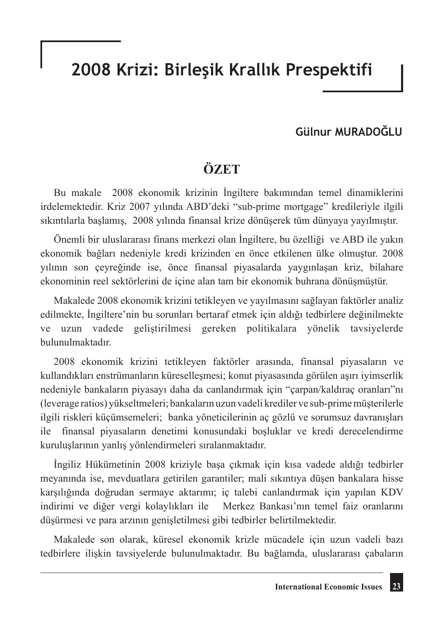# **2008 Krizi: Birleşik Krallık Prespektifi**

### **Gülnur MURADOĞLU**

# **ÖZET**

Bu makale 2008 ekonomik krizinin İngiltere bakımından temel dinamiklerini irdelemektedir. Kriz 2007 yılında ABD'deki "sub-prime mortgage" kredileriyle ilgili sıkıntılarla başlamış, 2008 yılında finansal krize dönüşerek tüm dünyaya yayılmıştır.

Önemli bir uluslararası finans merkezi olan İngiltere, bu özelliği ve ABD ile yakın ekonomik bağları nedeniyle kredi krizinden en önce etkilenen ülke olmuştur. 2008 yılının son çeyreğinde ise, önce finansal piyasalarda yaygınlaşan kriz, bilahare ekonominin reel sektörlerini de içine alan tam bir ekonomik buhrana dönüşmüştür.

Makalede 2008 ekonomik krizini tetikleyen ve yayılmasını sağlayan faktörler analiz edilmekte, İngiltere'nin bu sorunları bertaraf etmek için aldığı tedbirlere değinilmekte ve uzun vadede geliştirilmesi gereken politikalara yönelik tavsiyelerde bulunulmaktadır.

2008 ekonomik krizini tetikleyen faktörler arasında, finansal piyasaların ve kullandıkları enstrümanların küreselleşmesi; konut piyasasında görülen aşırı iyimserlik nedeniyle bankaların piyasayı daha da canlandırmak için "çarpan/kaldıraç oranları"nı (leverage ratios) yükseltmeleri; bankaların uzun vadeli krediler ve sub-prime müşterilerle ilgili riskleri küçümsemeleri; banka yöneticilerinin aç gözlü ve sorumsuz davranışları ile finansal piyasaların denetimi konusundaki boşluklar ve kredi derecelendirme kuruluşlarının yanlış yönlendirmeleri sıralanmaktadır.

İngiliz Hükümetinin 2008 kriziyle başa çıkmak için kısa vadede aldığı tedbirler meyanında ise, mevduatlara getirilen garantiler; mali sıkıntıya düşen bankalara hisse karşılığında doğrudan sermaye aktarımı; iç talebi canlandırmak için yapılan KDV indirimi ve diğer vergi kolaylıkları ile Merkez Bankası'nın temel faiz oranlarını düşürmesi ve para arzının genişletilmesi gibi tedbirler belirtilmektedir.

Makalede son olarak, küresel ekonomik krizle mücadele için uzun vadeli bazı tedbirlere ilişkin tavsiyelerde bulunulmaktadır. Bu bağlamda, uluslararası çabaların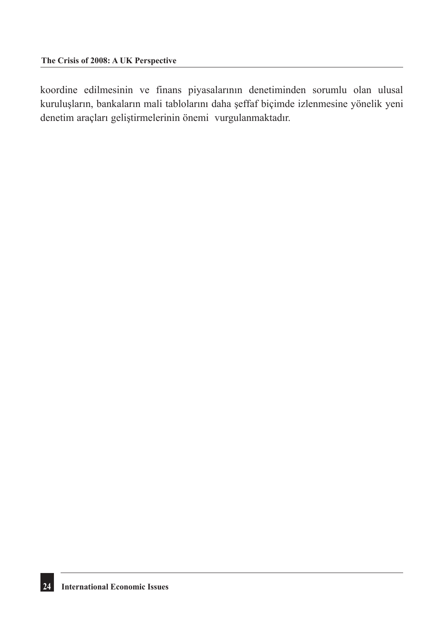koordine edilmesinin ve finans piyasalarının denetiminden sorumlu olan ulusal kuruluşların, bankaların mali tablolarını daha şeffaf biçimde izlenmesine yönelik yeni denetim araçları geliştirmelerinin önemi vurgulanmaktadır.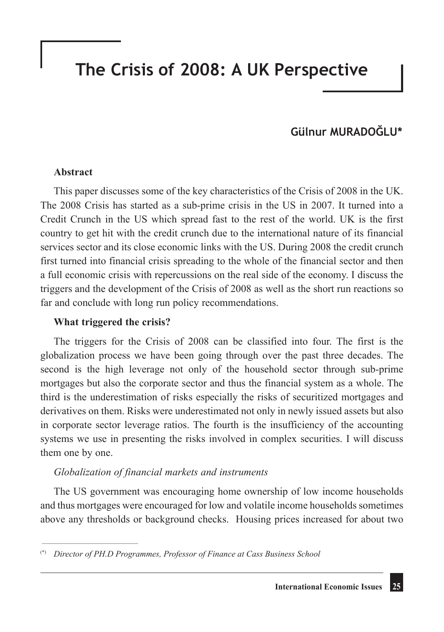# **The Crisis of 2008: A UK Perspective**

## **Gülnur MURADOĞLU\***

#### **Abstract**

This paper discusses some of the key characteristics of the Crisis of 2008 in the UK. The 2008 Crisis has started as a sub-prime crisis in the US in 2007. It turned into a Credit Crunch in the US which spread fast to the rest of the world. UK is the first country to get hit with the credit crunch due to the international nature of its financial services sector and its close economic links with the US. During 2008 the credit crunch first turned into financial crisis spreading to the whole of the financial sector and then a full economic crisis with repercussions on the real side of the economy. I discuss the triggers and the development of the Crisis of 2008 as well as the short run reactions so far and conclude with long run policy recommendations.

#### **What triggered the crisis?**

\_\_\_\_\_\_\_\_\_\_\_\_\_\_\_\_\_\_\_\_\_\_\_\_\_\_\_\_\_

The triggers for the Crisis of 2008 can be classified into four. The first is the globalization process we have been going through over the past three decades. The second is the high leverage not only of the household sector through sub-prime mortgages but also the corporate sector and thus the financial system as a whole. The third is the underestimation of risks especially the risks of securitized mortgages and derivatives on them. Risks were underestimated not only in newly issued assets but also in corporate sector leverage ratios. The fourth is the insufficiency of the accounting systems we use in presenting the risks involved in complex securities. I will discuss them one by one.

#### *Globalization of financial markets and instruments*

The US government was encouraging home ownership of low income households and thus mortgages were encouraged for low and volatile income households sometimes above any thresholds or background checks. Housing prices increased for about two

<sup>(\*)</sup> *Director of PH.D Programmes, Professor of Finance at Cass Business School*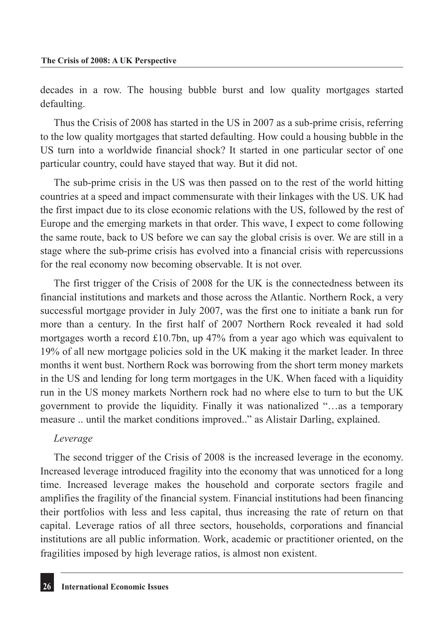decades in a row. The housing bubble burst and low quality mortgages started defaulting.

Thus the Crisis of 2008 has started in the US in 2007 as a sub-prime crisis, referring to the low quality mortgages that started defaulting. How could a housing bubble in the US turn into a worldwide financial shock? It started in one particular sector of one particular country, could have stayed that way. But it did not.

The sub-prime crisis in the US was then passed on to the rest of the world hitting countries at a speed and impact commensurate with their linkages with the US. UK had the first impact due to its close economic relations with the US, followed by the rest of Europe and the emerging markets in that order. This wave, I expect to come following the same route, back to US before we can say the global crisis is over. We are still in a stage where the sub-prime crisis has evolved into a financial crisis with repercussions for the real economy now becoming observable. It is not over.

The first trigger of the Crisis of 2008 for the UK is the connectedness between its financial institutions and markets and those across the Atlantic. Northern Rock, a very successful mortgage provider in July 2007, was the first one to initiate a bank run for more than a century. In the first half of 2007 Northern Rock revealed it had sold mortgages worth a record £10.7bn, up 47% from a year ago which was equivalent to 19% of all new mortgage policies sold in the UK making it the market leader. In three months it went bust. Northern Rock was borrowing from the short term money markets in the US and lending for long term mortgages in the UK. When faced with a liquidity run in the US money markets Northern rock had no where else to turn to but the UK government to provide the liquidity. Finally it was nationalized "…as a temporary measure .. until the market conditions improved.." as Alistair Darling, explained.

#### *Leverage*

The second trigger of the Crisis of 2008 is the increased leverage in the economy. Increased leverage introduced fragility into the economy that was unnoticed for a long time. Increased leverage makes the household and corporate sectors fragile and amplifies the fragility of the financial system. Financial institutions had been financing their portfolios with less and less capital, thus increasing the rate of return on that capital. Leverage ratios of all three sectors, households, corporations and financial institutions are all public information. Work, academic or practitioner oriented, on the fragilities imposed by high leverage ratios, is almost non existent.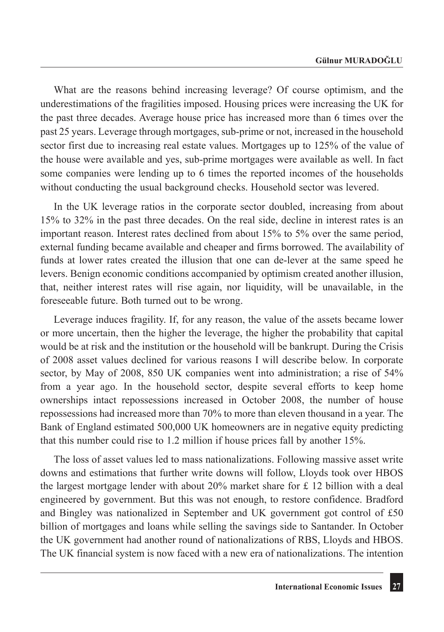What are the reasons behind increasing leverage? Of course optimism, and the underestimations of the fragilities imposed. Housing prices were increasing the UK for the past three decades. Average house price has increased more than 6 times over the past 25 years. Leverage through mortgages, sub-prime or not, increased in the household sector first due to increasing real estate values. Mortgages up to 125% of the value of the house were available and yes, sub-prime mortgages were available as well. In fact some companies were lending up to 6 times the reported incomes of the households without conducting the usual background checks. Household sector was levered.

In the UK leverage ratios in the corporate sector doubled, increasing from about 15% to 32% in the past three decades. On the real side, decline in interest rates is an important reason. Interest rates declined from about 15% to 5% over the same period, external funding became available and cheaper and firms borrowed. The availability of funds at lower rates created the illusion that one can de-lever at the same speed he levers. Benign economic conditions accompanied by optimism created another illusion, that, neither interest rates will rise again, nor liquidity, will be unavailable, in the foreseeable future. Both turned out to be wrong.

Leverage induces fragility. If, for any reason, the value of the assets became lower or more uncertain, then the higher the leverage, the higher the probability that capital would be at risk and the institution or the household will be bankrupt. During the Crisis of 2008 asset values declined for various reasons I will describe below. In corporate sector, by May of 2008, 850 UK companies went into administration; a rise of 54% from a year ago. In the household sector, despite several efforts to keep home ownerships intact repossessions increased in October 2008, the number of house repossessions had increased more than 70% to more than eleven thousand in a year. The Bank of England estimated 500,000 UK homeowners are in negative equity predicting that this number could rise to 1.2 million if house prices fall by another 15%.

The loss of asset values led to mass nationalizations. Following massive asset write downs and estimations that further write downs will follow, Lloyds took over HBOS the largest mortgage lender with about  $20\%$  market share for £ 12 billion with a deal engineered by government. But this was not enough, to restore confidence. Bradford and Bingley was nationalized in September and UK government got control of £50 billion of mortgages and loans while selling the savings side to Santander. In October the UK government had another round of nationalizations of RBS, Lloyds and HBOS. The UK financial system is now faced with a new era of nationalizations. The intention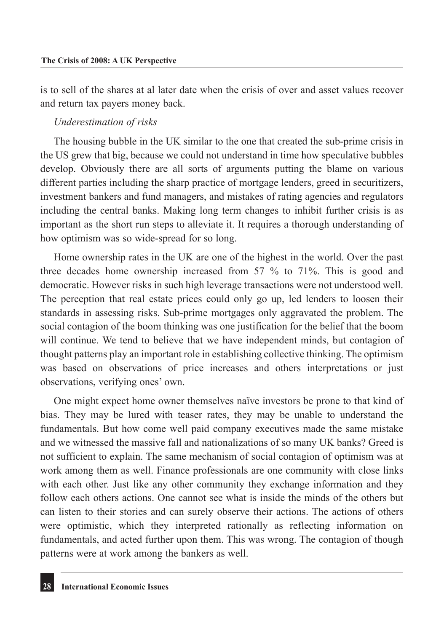is to sell of the shares at al later date when the crisis of over and asset values recover and return tax payers money back.

#### *Underestimation of risks*

The housing bubble in the UK similar to the one that created the sub-prime crisis in the US grew that big, because we could not understand in time how speculative bubbles develop. Obviously there are all sorts of arguments putting the blame on various different parties including the sharp practice of mortgage lenders, greed in securitizers, investment bankers and fund managers, and mistakes of rating agencies and regulators including the central banks. Making long term changes to inhibit further crisis is as important as the short run steps to alleviate it. It requires a thorough understanding of how optimism was so wide-spread for so long.

Home ownership rates in the UK are one of the highest in the world. Over the past three decades home ownership increased from 57 % to 71%. This is good and democratic. However risks in such high leverage transactions were not understood well. The perception that real estate prices could only go up, led lenders to loosen their standards in assessing risks. Sub-prime mortgages only aggravated the problem. The social contagion of the boom thinking was one justification for the belief that the boom will continue. We tend to believe that we have independent minds, but contagion of thought patterns play an important role in establishing collective thinking. The optimism was based on observations of price increases and others interpretations or just observations, verifying ones' own.

One might expect home owner themselves naïve investors be prone to that kind of bias. They may be lured with teaser rates, they may be unable to understand the fundamentals. But how come well paid company executives made the same mistake and we witnessed the massive fall and nationalizations of so many UK banks? Greed is not sufficient to explain. The same mechanism of social contagion of optimism was at work among them as well. Finance professionals are one community with close links with each other. Just like any other community they exchange information and they follow each others actions. One cannot see what is inside the minds of the others but can listen to their stories and can surely observe their actions. The actions of others were optimistic, which they interpreted rationally as reflecting information on fundamentals, and acted further upon them. This was wrong. The contagion of though patterns were at work among the bankers as well.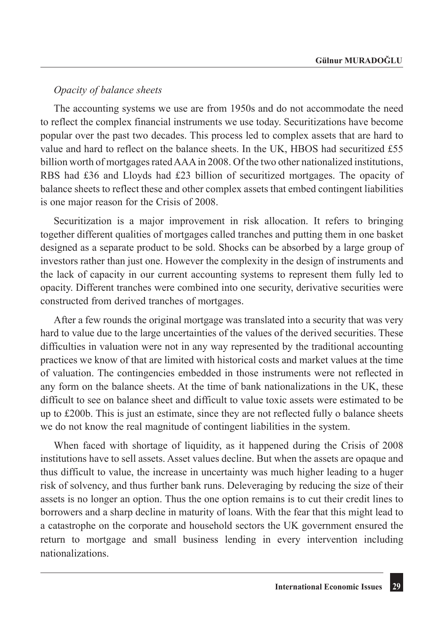### *Opacity of balance sheets*

The accounting systems we use are from 1950s and do not accommodate the need to reflect the complex financial instruments we use today. Securitizations have become popular over the past two decades. This process led to complex assets that are hard to value and hard to reflect on the balance sheets. In the UK, HBOS had securitized £55 billion worth of mortgages rated AAA in 2008. Of the two other nationalized institutions, RBS had £36 and Lloyds had £23 billion of securitized mortgages. The opacity of balance sheets to reflect these and other complex assets that embed contingent liabilities is one major reason for the Crisis of 2008.

Securitization is a major improvement in risk allocation. It refers to bringing together different qualities of mortgages called tranches and putting them in one basket designed as a separate product to be sold. Shocks can be absorbed by a large group of investors rather than just one. However the complexity in the design of instruments and the lack of capacity in our current accounting systems to represent them fully led to opacity. Different tranches were combined into one security, derivative securities were constructed from derived tranches of mortgages.

After a few rounds the original mortgage was translated into a security that was very hard to value due to the large uncertainties of the values of the derived securities. These difficulties in valuation were not in any way represented by the traditional accounting practices we know of that are limited with historical costs and market values at the time of valuation. The contingencies embedded in those instruments were not reflected in any form on the balance sheets. At the time of bank nationalizations in the UK, these difficult to see on balance sheet and difficult to value toxic assets were estimated to be up to £200b. This is just an estimate, since they are not reflected fully o balance sheets we do not know the real magnitude of contingent liabilities in the system.

When faced with shortage of liquidity, as it happened during the Crisis of 2008 institutions have to sell assets. Asset values decline. But when the assets are opaque and thus difficult to value, the increase in uncertainty was much higher leading to a huger risk of solvency, and thus further bank runs. Deleveraging by reducing the size of their assets is no longer an option. Thus the one option remains is to cut their credit lines to borrowers and a sharp decline in maturity of loans. With the fear that this might lead to a catastrophe on the corporate and household sectors the UK government ensured the return to mortgage and small business lending in every intervention including nationalizations.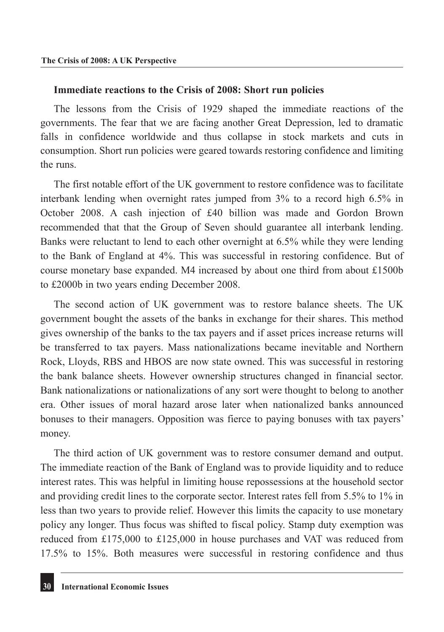#### **Immediate reactions to the Crisis of 2008: Short run policies**

The lessons from the Crisis of 1929 shaped the immediate reactions of the governments. The fear that we are facing another Great Depression, led to dramatic falls in confidence worldwide and thus collapse in stock markets and cuts in consumption. Short run policies were geared towards restoring confidence and limiting the runs.

The first notable effort of the UK government to restore confidence was to facilitate interbank lending when overnight rates jumped from 3% to a record high 6.5% in October 2008. A cash injection of £40 billion was made and Gordon Brown recommended that that the Group of Seven should guarantee all interbank lending. Banks were reluctant to lend to each other overnight at 6.5% while they were lending to the Bank of England at 4%. This was successful in restoring confidence. But of course monetary base expanded. M4 increased by about one third from about £1500b to £2000b in two years ending December 2008.

The second action of UK government was to restore balance sheets. The UK government bought the assets of the banks in exchange for their shares. This method gives ownership of the banks to the tax payers and if asset prices increase returns will be transferred to tax payers. Mass nationalizations became inevitable and Northern Rock, Lloyds, RBS and HBOS are now state owned. This was successful in restoring the bank balance sheets. However ownership structures changed in financial sector. Bank nationalizations or nationalizations of any sort were thought to belong to another era. Other issues of moral hazard arose later when nationalized banks announced bonuses to their managers. Opposition was fierce to paying bonuses with tax payers' money.

The third action of UK government was to restore consumer demand and output. The immediate reaction of the Bank of England was to provide liquidity and to reduce interest rates. This was helpful in limiting house repossessions at the household sector and providing credit lines to the corporate sector. Interest rates fell from 5.5% to 1% in less than two years to provide relief. However this limits the capacity to use monetary policy any longer. Thus focus was shifted to fiscal policy. Stamp duty exemption was reduced from £175,000 to £125,000 in house purchases and VAT was reduced from 17.5% to 15%. Both measures were successful in restoring confidence and thus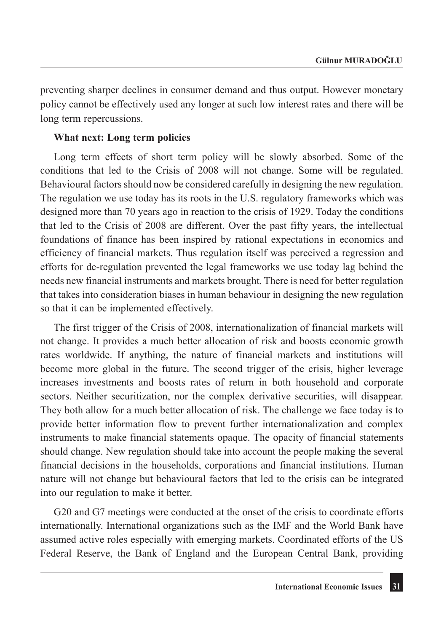preventing sharper declines in consumer demand and thus output. However monetary policy cannot be effectively used any longer at such low interest rates and there will be long term repercussions.

#### **What next: Long term policies**

Long term effects of short term policy will be slowly absorbed. Some of the conditions that led to the Crisis of 2008 will not change. Some will be regulated. Behavioural factors should now be considered carefully in designing the new regulation. The regulation we use today has its roots in the U.S. regulatory frameworks which was designed more than 70 years ago in reaction to the crisis of 1929. Today the conditions that led to the Crisis of 2008 are different. Over the past fifty years, the intellectual foundations of finance has been inspired by rational expectations in economics and efficiency of financial markets. Thus regulation itself was perceived a regression and efforts for de-regulation prevented the legal frameworks we use today lag behind the needs new financial instruments and markets brought. There is need for better regulation that takes into consideration biases in human behaviour in designing the new regulation so that it can be implemented effectively.

The first trigger of the Crisis of 2008, internationalization of financial markets will not change. It provides a much better allocation of risk and boosts economic growth rates worldwide. If anything, the nature of financial markets and institutions will become more global in the future. The second trigger of the crisis, higher leverage increases investments and boosts rates of return in both household and corporate sectors. Neither securitization, nor the complex derivative securities, will disappear. They both allow for a much better allocation of risk. The challenge we face today is to provide better information flow to prevent further internationalization and complex instruments to make financial statements opaque. The opacity of financial statements should change. New regulation should take into account the people making the several financial decisions in the households, corporations and financial institutions. Human nature will not change but behavioural factors that led to the crisis can be integrated into our regulation to make it better.

G20 and G7 meetings were conducted at the onset of the crisis to coordinate efforts internationally. International organizations such as the IMF and the World Bank have assumed active roles especially with emerging markets. Coordinated efforts of the US Federal Reserve, the Bank of England and the European Central Bank, providing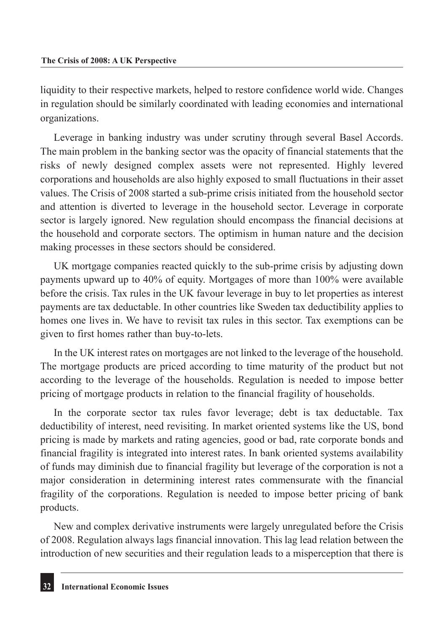liquidity to their respective markets, helped to restore confidence world wide. Changes in regulation should be similarly coordinated with leading economies and international organizations.

Leverage in banking industry was under scrutiny through several Basel Accords. The main problem in the banking sector was the opacity of financial statements that the risks of newly designed complex assets were not represented. Highly levered corporations and households are also highly exposed to small fluctuations in their asset values. The Crisis of 2008 started a sub-prime crisis initiated from the household sector and attention is diverted to leverage in the household sector. Leverage in corporate sector is largely ignored. New regulation should encompass the financial decisions at the household and corporate sectors. The optimism in human nature and the decision making processes in these sectors should be considered.

UK mortgage companies reacted quickly to the sub-prime crisis by adjusting down payments upward up to 40% of equity. Mortgages of more than 100% were available before the crisis. Tax rules in the UK favour leverage in buy to let properties as interest payments are tax deductable. In other countries like Sweden tax deductibility applies to homes one lives in. We have to revisit tax rules in this sector. Tax exemptions can be given to first homes rather than buy-to-lets.

In the UK interest rates on mortgages are not linked to the leverage of the household. The mortgage products are priced according to time maturity of the product but not according to the leverage of the households. Regulation is needed to impose better pricing of mortgage products in relation to the financial fragility of households.

In the corporate sector tax rules favor leverage; debt is tax deductable. Tax deductibility of interest, need revisiting. In market oriented systems like the US, bond pricing is made by markets and rating agencies, good or bad, rate corporate bonds and financial fragility is integrated into interest rates. In bank oriented systems availability of funds may diminish due to financial fragility but leverage of the corporation is not a major consideration in determining interest rates commensurate with the financial fragility of the corporations. Regulation is needed to impose better pricing of bank products.

New and complex derivative instruments were largely unregulated before the Crisis of 2008. Regulation always lags financial innovation. This lag lead relation between the introduction of new securities and their regulation leads to a misperception that there is